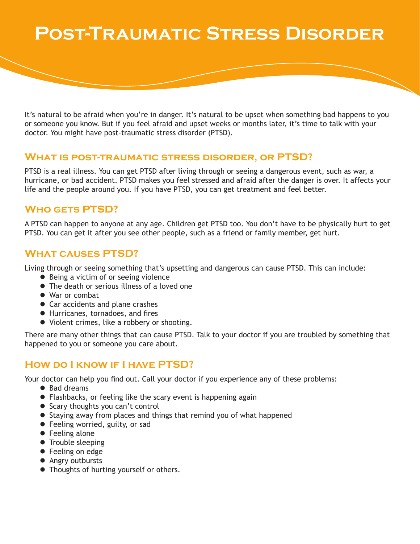# **Post-Traumatic Stress Disorder**

It's natural to be afraid when you're in danger. It's natural to be upset when something bad happens to you or someone you know. But if you feel afraid and upset weeks or months later, it's time to talk with your doctor. You might have post-traumatic stress disorder (PTSD).

#### **What is post-traumatic stress disorder, or PTSD?**

PTSD is a real illness. You can get PTSD after living through or seeing a dangerous event, such as war, a hurricane, or bad accident. PTSD makes you feel stressed and afraid after the danger is over. It affects your life and the people around you. If you have PTSD, you can get treatment and feel better.

## **Who gets PTSD?**

A PTSD can happen to anyone at any age. Children get PTSD too. You don't have to be physically hurt to get PTSD. You can get it after you see other people, such as a friend or family member, get hurt.

## **What causes PTSD?**

Living through or seeing something that's upsetting and dangerous can cause PTSD. This can include:

- Being a victim of or seeing violence
- The death or serious illness of a loved one
- War or combat
- Car accidents and plane crashes
- **•** Hurricanes, tornadoes, and fires
- Violent crimes, like a robbery or shooting.

There are many other things that can cause PTSD. Talk to your doctor if you are troubled by something that happened to you or someone you care about.

## **How do I know if I have PTSD?**

Your doctor can help you find out. Call your doctor if you experience any of these problems:

- Bad dreams
- Flashbacks, or feeling like the scary event is happening again
- Scary thoughts you can't control
- Staying away from places and things that remind you of what happened
- **•** Feeling worried, guilty, or sad
- $\bullet$  Feeling alone
- Trouble sleeping
- Feeling on edge
- Angry outbursts
- Thoughts of hurting yourself or others.